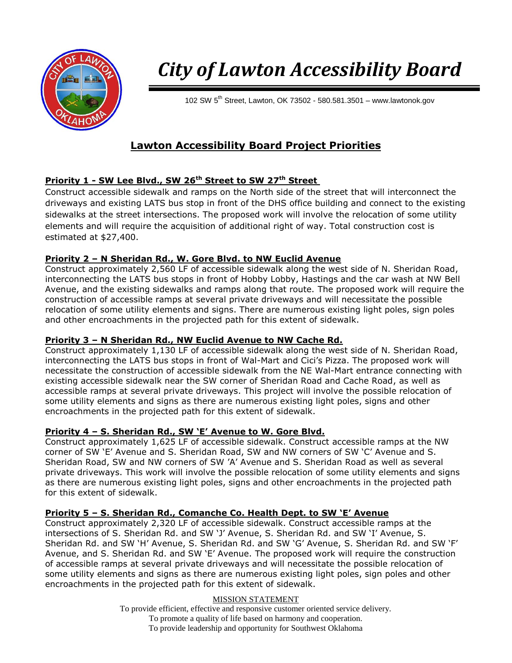

# *City of Lawton Accessibility Board*

102 SW  $5<sup>th</sup>$  Street, Lawton, OK 73502 - 580.581.3501 – www.lawtonok.gov

# **Lawton Accessibility Board Project Priorities**

# **Priority 1 - SW Lee Blvd., SW 26th Street to SW 27th Street**

Construct accessible sidewalk and ramps on the North side of the street that will interconnect the driveways and existing LATS bus stop in front of the DHS office building and connect to the existing sidewalks at the street intersections. The proposed work will involve the relocation of some utility elements and will require the acquisition of additional right of way. Total construction cost is estimated at \$27,400.

#### **Priority 2 – N Sheridan Rd., W. Gore Blvd. to NW Euclid Avenue**

Construct approximately 2,560 LF of accessible sidewalk along the west side of N. Sheridan Road, interconnecting the LATS bus stops in front of Hobby Lobby, Hastings and the car wash at NW Bell Avenue, and the existing sidewalks and ramps along that route. The proposed work will require the construction of accessible ramps at several private driveways and will necessitate the possible relocation of some utility elements and signs. There are numerous existing light poles, sign poles and other encroachments in the projected path for this extent of sidewalk.

#### **Priority 3 – N Sheridan Rd., NW Euclid Avenue to NW Cache Rd.**

Construct approximately 1,130 LF of accessible sidewalk along the west side of N. Sheridan Road, interconnecting the LATS bus stops in front of Wal-Mart and Cici's Pizza. The proposed work will necessitate the construction of accessible sidewalk from the NE Wal-Mart entrance connecting with existing accessible sidewalk near the SW corner of Sheridan Road and Cache Road, as well as accessible ramps at several private driveways. This project will involve the possible relocation of some utility elements and signs as there are numerous existing light poles, signs and other encroachments in the projected path for this extent of sidewalk.

# **Priority 4 – S. Sheridan Rd., SW 'E' Avenue to W. Gore Blvd.**

Construct approximately 1,625 LF of accessible sidewalk. Construct accessible ramps at the NW corner of SW 'E' Avenue and S. Sheridan Road, SW and NW corners of SW 'C' Avenue and S. Sheridan Road, SW and NW corners of SW 'A' Avenue and S. Sheridan Road as well as several private driveways. This work will involve the possible relocation of some utility elements and signs as there are numerous existing light poles, signs and other encroachments in the projected path for this extent of sidewalk.

# **Priority 5 – S. Sheridan Rd., Comanche Co. Health Dept. to SW 'E' Avenue**

Construct approximately 2,320 LF of accessible sidewalk. Construct accessible ramps at the intersections of S. Sheridan Rd. and SW 'J' Avenue, S. Sheridan Rd. and SW 'I' Avenue, S. Sheridan Rd. and SW 'H' Avenue, S. Sheridan Rd. and SW 'G' Avenue, S. Sheridan Rd. and SW 'F' Avenue, and S. Sheridan Rd. and SW 'E' Avenue. The proposed work will require the construction of accessible ramps at several private driveways and will necessitate the possible relocation of some utility elements and signs as there are numerous existing light poles, sign poles and other encroachments in the projected path for this extent of sidewalk.

#### MISSION STATEMENT

To provide efficient, effective and responsive customer oriented service delivery. To promote a quality of life based on harmony and cooperation. To provide leadership and opportunity for Southwest Oklahoma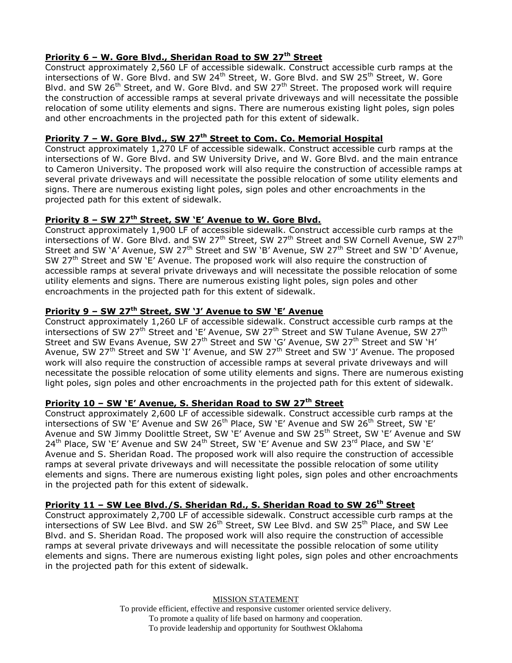## **Priority 6 – W. Gore Blvd., Sheridan Road to SW 27th Street**

Construct approximately 2,560 LF of accessible sidewalk. Construct accessible curb ramps at the intersections of W. Gore Blvd. and SW 24<sup>th</sup> Street, W. Gore Blvd. and SW 25<sup>th</sup> Street, W. Gore Blvd. and SW 26<sup>th</sup> Street, and W. Gore Blvd. and SW 27<sup>th</sup> Street. The proposed work will require the construction of accessible ramps at several private driveways and will necessitate the possible relocation of some utility elements and signs. There are numerous existing light poles, sign poles and other encroachments in the projected path for this extent of sidewalk.

#### **Priority 7 – W. Gore Blvd., SW 27th Street to Com. Co. Memorial Hospital**

Construct approximately 1,270 LF of accessible sidewalk. Construct accessible curb ramps at the intersections of W. Gore Blvd. and SW University Drive, and W. Gore Blvd. and the main entrance to Cameron University. The proposed work will also require the construction of accessible ramps at several private driveways and will necessitate the possible relocation of some utility elements and signs. There are numerous existing light poles, sign poles and other encroachments in the projected path for this extent of sidewalk.

#### **Priority 8 – SW 27th Street, SW 'E' Avenue to W. Gore Blvd.**

Construct approximately 1,900 LF of accessible sidewalk. Construct accessible curb ramps at the intersections of W. Gore Blvd. and SW 27<sup>th</sup> Street, SW 27<sup>th</sup> Street and SW Cornell Avenue, SW 27<sup>th</sup> Street and SW 'A' Avenue, SW 27<sup>th</sup> Street and SW 'B' Avenue, SW 27<sup>th</sup> Street and SW 'D' Avenue, SW 27<sup>th</sup> Street and SW 'E' Avenue. The proposed work will also require the construction of accessible ramps at several private driveways and will necessitate the possible relocation of some utility elements and signs. There are numerous existing light poles, sign poles and other encroachments in the projected path for this extent of sidewalk.

# **Priority 9 – SW 27th Street, SW 'J' Avenue to SW 'E' Avenue**

Construct approximately 1,260 LF of accessible sidewalk. Construct accessible curb ramps at the intersections of SW 27<sup>th</sup> Street and 'E' Avenue, SW 27<sup>th</sup> Street and SW Tulane Avenue, SW 27<sup>th</sup> Street and SW Evans Avenue, SW 27<sup>th</sup> Street and SW 'G' Avenue, SW 27<sup>th</sup> Street and SW 'H' Avenue, SW 27<sup>th</sup> Street and SW 'I' Avenue, and SW 27<sup>th</sup> Street and SW 'J' Avenue. The proposed work will also require the construction of accessible ramps at several private driveways and will necessitate the possible relocation of some utility elements and signs. There are numerous existing light poles, sign poles and other encroachments in the projected path for this extent of sidewalk.

#### **Priority 10 – SW 'E' Avenue, S. Sheridan Road to SW 27th Street**

Construct approximately 2,600 LF of accessible sidewalk. Construct accessible curb ramps at the intersections of SW 'E' Avenue and SW 26<sup>th</sup> Place, SW 'E' Avenue and SW 26<sup>th</sup> Street, SW 'E' Avenue and SW Jimmy Doolittle Street, SW 'E' Avenue and SW 25<sup>th</sup> Street, SW 'E' Avenue and SW  $24^{th}$  Place, SW 'E' Avenue and SW  $24^{th}$  Street, SW 'E' Avenue and SW  $23^{rd}$  Place, and SW 'E' Avenue and S. Sheridan Road. The proposed work will also require the construction of accessible ramps at several private driveways and will necessitate the possible relocation of some utility elements and signs. There are numerous existing light poles, sign poles and other encroachments in the projected path for this extent of sidewalk.

#### **Priority 11 – SW Lee Blvd./S. Sheridan Rd., S. Sheridan Road to SW 26th Street**

Construct approximately 2,700 LF of accessible sidewalk. Construct accessible curb ramps at the intersections of SW Lee Blvd. and SW 26<sup>th</sup> Street, SW Lee Blvd. and SW 25<sup>th</sup> Place, and SW Lee Blvd. and S. Sheridan Road. The proposed work will also require the construction of accessible ramps at several private driveways and will necessitate the possible relocation of some utility elements and signs. There are numerous existing light poles, sign poles and other encroachments in the projected path for this extent of sidewalk.

> MISSION STATEMENT To provide efficient, effective and responsive customer oriented service delivery. To promote a quality of life based on harmony and cooperation. To provide leadership and opportunity for Southwest Oklahoma